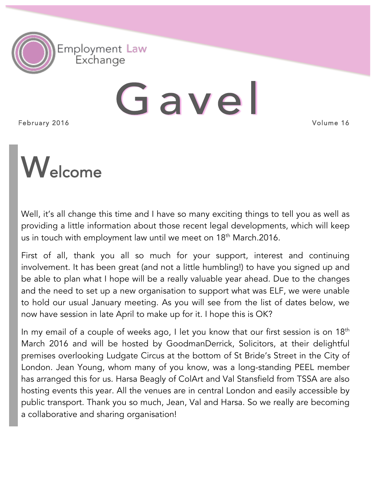

# Gavel

February 2016

Volume 16



Well, it's all change this time and I have so many exciting things to tell you as well as providing a little information about those recent legal developments, which will keep us in touch with employment law until we meet on 18<sup>th</sup> March.2016.

First of all, thank you all so much for your support, interest and continuing involvement. It has been great (and not a little humbling!) to have you signed up and be able to plan what I hope will be a really valuable year ahead. Due to the changes and the need to set up a new organisation to support what was ELF, we were unable to hold our usual January meeting. As you will see from the list of dates below, we now have session in late April to make up for it. I hope this is OK?

In my email of a couple of weeks ago, I let you know that our first session is on 18<sup>th</sup> March 2016 and will be hosted by GoodmanDerrick, Solicitors, at their delightful premises overlooking Ludgate Circus at the bottom of St Bride's Street in the City of London. Jean Young, whom many of you know, was a long-standing PEEL member has arranged this for us. Harsa Beagly of ColArt and Val Stansfield from TSSA are also hosting events this year. All the venues are in central London and easily accessible by public transport. Thank you so much, Jean, Val and Harsa. So we really are becoming a collaborative and sharing organisation!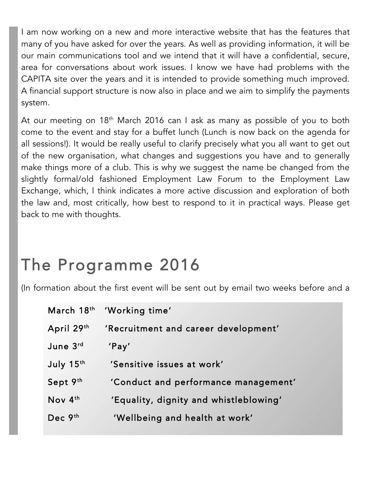I am now working on a new and more interactive website that has the features that many of you have asked for over the years. As well as providing information, it will be our main communications tool and we intend that it will have a confidential, secure, area for conversations about work issues. I know we have had problems with the CAPITA site over the years and it is intended to provide something much improved. A financial support structure is now also in place and we aim to simplify the payments system.

At our meeting on 18<sup>th</sup> March 2016 can I ask as many as possible of you to both come to the event and stay for a buffet lunch (Lunch is now back on the agenda for all sessions!). It would be really useful to clarify precisely what you all want to get out of the new organisation, what changes and suggestions you have and to generally make things more of a club. This is why we suggest the name be changed from the slightly formal/old fashioned Employment Law Forum to the Employment Law Exchange, which, I think indicates a more active discussion and exploration of both the law and, most critically, how best to respond to it in practical ways. Please get back to me with thoughts.

# The Programme 2016

(In formation about the first event will be sent out by email two weeks before and a

|            | March 18th 'Working time'              |  |
|------------|----------------------------------------|--|
| April 29th | 'Recruitment and career development'   |  |
| June 3rd   | 'Pay'                                  |  |
| July 15th  | 'Sensitive issues at work'             |  |
| Sept 9th   | 'Conduct and performance management'   |  |
| Nov 4th    | 'Equality, dignity and whistleblowing' |  |
| Dec $9th$  | 'Wellbeing and health at work'         |  |
|            |                                        |  |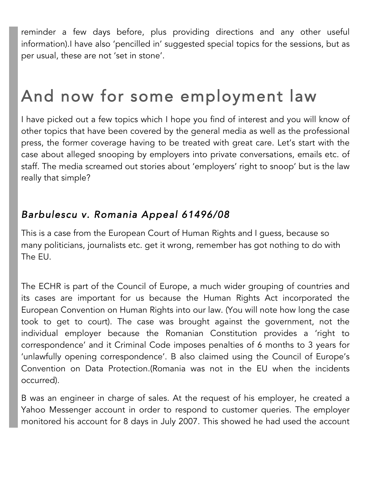reminder a few days before, plus providing directions and any other useful information).I have also 'pencilled in' suggested special topics for the sessions, but as per usual, these are not 'set in stone'.

# And now for some employment law

I have picked out a few topics which I hope you find of interest and you will know of other topics that have been covered by the general media as well as the professional press, the former coverage having to be treated with great care. Let's start with the case about alleged snooping by employers into private conversations, emails etc. of staff. The media screamed out stories about 'employers' right to snoop' but is the law really that simple?

## *Barbulescu v. Romania Appeal 61496/08*

This is a case from the European Court of Human Rights and I guess, because so many politicians, journalists etc. get it wrong, remember has got nothing to do with The EU.

The ECHR is part of the Council of Europe, a much wider grouping of countries and its cases are important for us because the Human Rights Act incorporated the European Convention on Human Rights into our law. (You will note how long the case took to get to court). The case was brought against the government, not the individual employer because the Romanian Constitution provides a 'right to correspondence' and it Criminal Code imposes penalties of 6 months to 3 years for 'unlawfully opening correspondence'. B also claimed using the Council of Europe's Convention on Data Protection.(Romania was not in the EU when the incidents occurred).

B was an engineer in charge of sales. At the request of his employer, he created a Yahoo Messenger account in order to respond to customer queries. The employer monitored his account for 8 days in July 2007. This showed he had used the account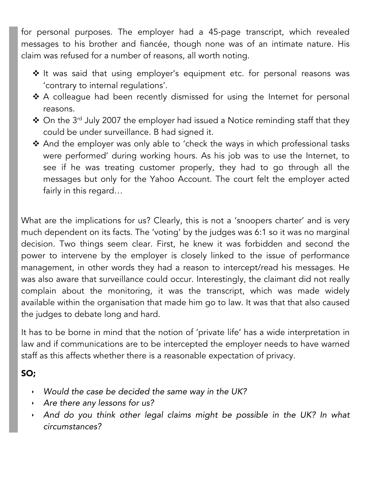for personal purposes. The employer had a 45-page transcript, which revealed messages to his brother and fiancée, though none was of an intimate nature. His claim was refused for a number of reasons, all worth noting.

- \* It was said that using employer's equipment etc. for personal reasons was 'contrary to internal regulations'.
- \* A colleague had been recently dismissed for using the Internet for personal reasons.
- ◆ On the 3<sup>rd</sup> July 2007 the employer had issued a Notice reminding staff that they could be under surveillance. B had signed it.
- \* And the employer was only able to 'check the ways in which professional tasks were performed' during working hours. As his job was to use the Internet, to see if he was treating customer properly, they had to go through all the messages but only for the Yahoo Account. The court felt the employer acted fairly in this regard…

What are the implications for us? Clearly, this is not a 'snoopers charter' and is very much dependent on its facts. The 'voting' by the judges was 6:1 so it was no marginal decision. Two things seem clear. First, he knew it was forbidden and second the power to intervene by the employer is closely linked to the issue of performance management, in other words they had a reason to intercept/read his messages. He was also aware that surveillance could occur. Interestingly, the claimant did not really complain about the monitoring, it was the transcript, which was made widely available within the organisation that made him go to law. It was that that also caused the judges to debate long and hard.

It has to be borne in mind that the notion of 'private life' has a wide interpretation in law and if communications are to be intercepted the employer needs to have warned staff as this affects whether there is a reasonable expectation of privacy.

#### SO;

- ! *Would the case be decided the same way in the UK?*
- ! *Are there any lessons for us?*
- ! *And do you think other legal claims might be possible in the UK? In what circumstances?*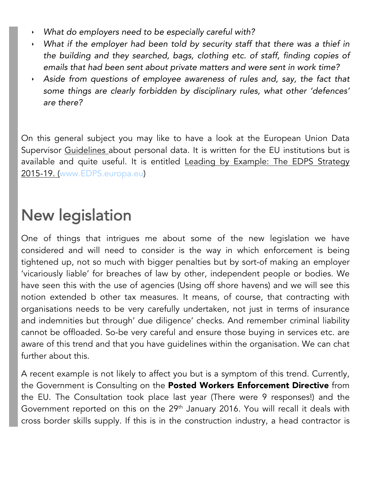- ! *What do employers need to be especially careful with?*
- ! *What if the employer had been told by security staff that there was a thief in the building and they searched, bags, clothing etc. of staff, finding copies of emails that had been sent about private matters and were sent in work time?*
- ! *Aside from questions of employee awareness of rules and, say, the fact that some things are clearly forbidden by disciplinary rules, what other 'defences' are there?*

On this general subject you may like to have a look at the European Union Data Supervisor Guidelines about personal data. It is written for the EU institutions but is available and quite useful. It is entitled Leading by Example: The EDPS Strategy 2015-19. (www.EDPS.europa.eu)

## New legislation

One of things that intrigues me about some of the new legislation we have considered and will need to consider is the way in which enforcement is being tightened up, not so much with bigger penalties but by sort-of making an employer 'vicariously liable' for breaches of law by other, independent people or bodies. We have seen this with the use of agencies (Using off shore havens) and we will see this notion extended b other tax measures. It means, of course, that contracting with organisations needs to be very carefully undertaken, not just in terms of insurance and indemnities but through' due diligence' checks. And remember criminal liability cannot be offloaded. So-be very careful and ensure those buying in services etc. are aware of this trend and that you have guidelines within the organisation. We can chat further about this.

A recent example is not likely to affect you but is a symptom of this trend. Currently, the Government is Consulting on the Posted Workers Enforcement Directive from the EU. The Consultation took place last year (There were 9 responses!) and the Government reported on this on the 29<sup>th</sup> January 2016. You will recall it deals with cross border skills supply. If this is in the construction industry, a head contractor is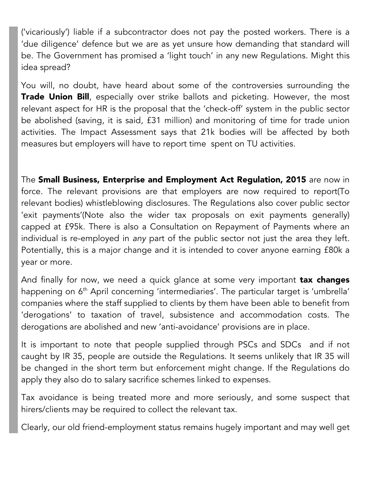('vicariously') liable if a subcontractor does not pay the posted workers. There is a 'due diligence' defence but we are as yet unsure how demanding that standard will be. The Government has promised a 'light touch' in any new Regulations. Might this idea spread?

You will, no doubt, have heard about some of the controversies surrounding the Trade Union Bill, especially over strike ballots and picketing. However, the most relevant aspect for HR is the proposal that the 'check-off' system in the public sector be abolished (saving, it is said, £31 million) and monitoring of time for trade union activities. The Impact Assessment says that 21k bodies will be affected by both measures but employers will have to report time spent on TU activities.

The Small Business, Enterprise and Employment Act Regulation, 2015 are now in force. The relevant provisions are that employers are now required to report(To relevant bodies) whistleblowing disclosures. The Regulations also cover public sector 'exit payments'(Note also the wider tax proposals on exit payments generally) capped at £95k. There is also a Consultation on Repayment of Payments where an individual is re-employed in *any* part of the public sector not just the area they left. Potentially, this is a major change and it is intended to cover anyone earning £80k a year or more.

And finally for now, we need a quick glance at some very important **tax changes** happening on 6<sup>th</sup> April concerning 'intermediaries'. The particular target is 'umbrella' companies where the staff supplied to clients by them have been able to benefit from 'derogations' to taxation of travel, subsistence and accommodation costs. The derogations are abolished and new 'anti-avoidance' provisions are in place.

It is important to note that people supplied through PSCs and SDCs and if not caught by IR 35, people are outside the Regulations. It seems unlikely that IR 35 will be changed in the short term but enforcement might change. If the Regulations do apply they also do to salary sacrifice schemes linked to expenses.

Tax avoidance is being treated more and more seriously, and some suspect that hirers/clients may be required to collect the relevant tax.

Clearly, our old friend-employment status remains hugely important and may well get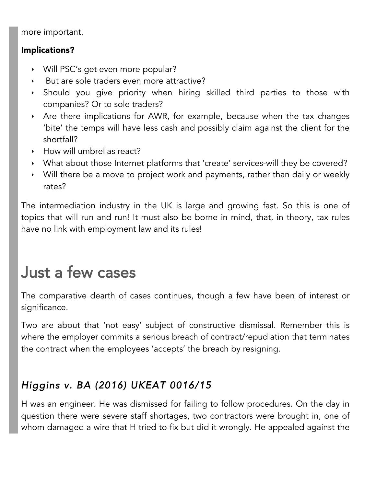more important.

#### Implications?

- ! Will PSC's get even more popular?
- But are sole traders even more attractive?
- ! Should you give priority when hiring skilled third parties to those with companies? Or to sole traders?
- ! Are there implications for AWR, for example, because when the tax changes 'bite' the temps will have less cash and possibly claim against the client for the shortfall?
- **How will umbrellas react?**
- ! What about those Internet platforms that 'create' services-will they be covered?
- $\cdot$  Will there be a move to project work and payments, rather than daily or weekly rates?

The intermediation industry in the UK is large and growing fast. So this is one of topics that will run and run! It must also be borne in mind, that, in theory, tax rules have no link with employment law and its rules!

# Just a few cases

The comparative dearth of cases continues, though a few have been of interest or significance.

Two are about that 'not easy' subject of constructive dismissal. Remember this is where the employer commits a serious breach of contract/repudiation that terminates the contract when the employees 'accepts' the breach by resigning.

## *Higgins v. BA (2016) UKEAT 0016/15*

H was an engineer. He was dismissed for failing to follow procedures. On the day in question there were severe staff shortages, two contractors were brought in, one of whom damaged a wire that H tried to fix but did it wrongly. He appealed against the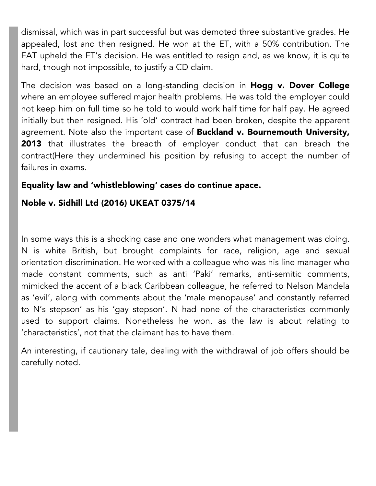dismissal, which was in part successful but was demoted three substantive grades. He appealed, lost and then resigned. He won at the ET, with a 50% contribution. The EAT upheld the ET's decision. He was entitled to resign and, as we know, it is quite hard, though not impossible, to justify a CD claim.

The decision was based on a long-standing decision in Hogg v. Dover College where an employee suffered major health problems. He was told the employer could not keep him on full time so he told to would work half time for half pay. He agreed initially but then resigned. His 'old' contract had been broken, despite the apparent agreement. Note also the important case of **Buckland v. Bournemouth University,** 2013 that illustrates the breadth of employer conduct that can breach the contract(Here they undermined his position by refusing to accept the number of failures in exams.

#### Equality law and 'whistleblowing' cases do continue apace.

#### Noble v. Sidhill Ltd (2016) UKEAT 0375/14

In some ways this is a shocking case and one wonders what management was doing. N is white British, but brought complaints for race, religion, age and sexual orientation discrimination. He worked with a colleague who was his line manager who made constant comments, such as anti 'Paki' remarks, anti-semitic comments, mimicked the accent of a black Caribbean colleague, he referred to Nelson Mandela as 'evil', along with comments about the 'male menopause' and constantly referred to N's stepson' as his 'gay stepson'. N had none of the characteristics commonly used to support claims. Nonetheless he won, as the law is about relating to 'characteristics', not that the claimant has to have them.

An interesting, if cautionary tale, dealing with the withdrawal of job offers should be carefully noted.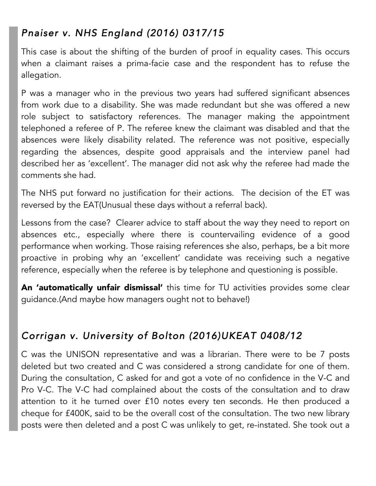## *Pnaiser v. NHS England (2016) 0317/15*

This case is about the shifting of the burden of proof in equality cases. This occurs when a claimant raises a prima-facie case and the respondent has to refuse the allegation.

P was a manager who in the previous two years had suffered significant absences from work due to a disability. She was made redundant but she was offered a new role subject to satisfactory references. The manager making the appointment telephoned a referee of P. The referee knew the claimant was disabled and that the absences were likely disability related. The reference was not positive, especially regarding the absences, despite good appraisals and the interview panel had described her as 'excellent'. The manager did not ask why the referee had made the comments she had.

The NHS put forward no justification for their actions. The decision of the ET was reversed by the EAT(Unusual these days without a referral back).

Lessons from the case? Clearer advice to staff about the way they need to report on absences etc., especially where there is countervailing evidence of a good performance when working. Those raising references she also, perhaps, be a bit more proactive in probing why an 'excellent' candidate was receiving such a negative reference, especially when the referee is by telephone and questioning is possible.

An 'automatically unfair dismissal' this time for TU activities provides some clear guidance.(And maybe how managers ought not to behave!)

## *Corrigan v. University of Bolton (2016)UKEAT 0408/12*

C was the UNISON representative and was a librarian. There were to be 7 posts deleted but two created and C was considered a strong candidate for one of them. During the consultation, C asked for and got a vote of no confidence in the V-C and Pro V-C. The V-C had complained about the costs of the consultation and to draw attention to it he turned over £10 notes every ten seconds. He then produced a cheque for £400K, said to be the overall cost of the consultation. The two new library posts were then deleted and a post C was unlikely to get, re-instated. She took out a